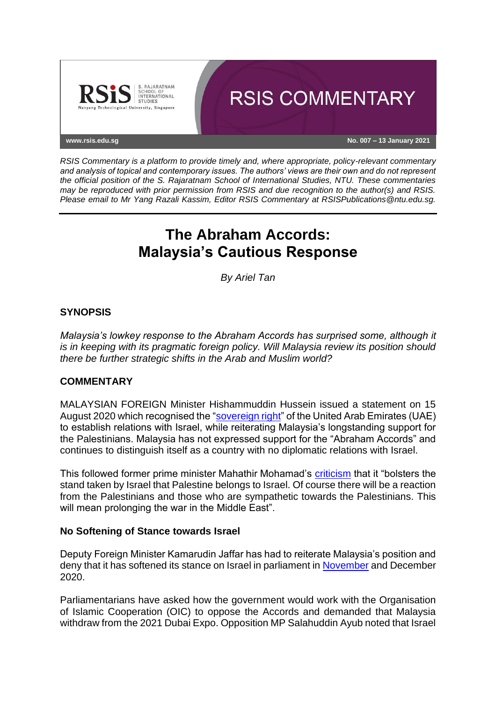

*RSIS Commentary is a platform to provide timely and, where appropriate, policy-relevant commentary and analysis of topical and contemporary issues. The authors' views are their own and do not represent the official position of the S. Rajaratnam School of International Studies, NTU. These commentaries may be reproduced with prior permission from RSIS and due recognition to the author(s) and RSIS. Please email to Mr Yang Razali Kassim, Editor RSIS Commentary at RSISPublications@ntu.edu.sg.*

# **The Abraham Accords: Malaysia's Cautious Response**

*By Ariel Tan*

## **SYNOPSIS**

*Malaysia's lowkey response to the Abraham Accords has surprised some, although it is in keeping with its pragmatic foreign policy. Will Malaysia review its position should there be further strategic shifts in the Arab and Muslim world?*

## **COMMENTARY**

MALAYSIAN FOREIGN Minister Hishammuddin Hussein issued a statement on 15 August 2020 which recognised the ["sovereign right"](https://twitter.com/hishammuddinh2o/status/1294468508902801408?lang=en) of the United Arab Emirates (UAE) to establish relations with Israel, while reiterating Malaysia's longstanding support for the Palestinians. Malaysia has not expressed support for the "Abraham Accords" and continues to distinguish itself as a country with no diplomatic relations with Israel.

This followed former prime minister Mahathir Mohamad's [criticism](https://www.scmp.com/week-asia/politics/article/3097450/malaysias-mahathir-uae-israel-deal-divides-muslim-world-warring) that it "bolsters the stand taken by Israel that Palestine belongs to Israel. Of course there will be a reaction from the Palestinians and those who are sympathetic towards the Palestinians. This will mean prolonging the war in the Middle East".

#### **No Softening of Stance towards Israel**

Deputy Foreign Minister Kamarudin Jaffar has had to reiterate Malaysia's position and deny that it has softened its stance on Israel in parliament in [November](https://www.malaymail.com/news/malaysia/2020/11/09/malaysia-hopes-new-us-administration-can-address-israel-palestine-conflict/1920822) and December 2020.

Parliamentarians have asked how the government would work with the Organisation of Islamic Cooperation (OIC) to oppose the Accords and demanded that Malaysia withdraw from the 2021 Dubai Expo. Opposition MP Salahuddin Ayub noted that Israel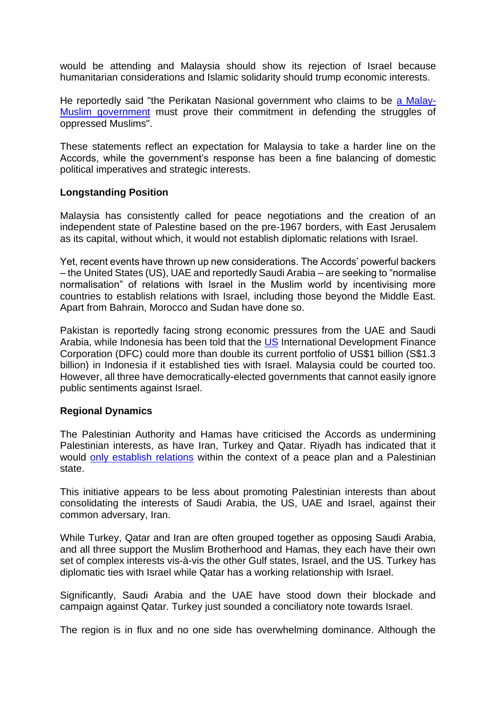would be attending and Malaysia should show its rejection of Israel because humanitarian considerations and Islamic solidarity should trump economic interests.

He reportedly said "the Perikatan Nasional government who claims to be [a Malay-](https://www.nst.com.my/news/nation/2020/12/646450/amanah-government-boycott-2020-dubai-expo)[Muslim government](https://www.nst.com.my/news/nation/2020/12/646450/amanah-government-boycott-2020-dubai-expo) must prove their commitment in defending the struggles of oppressed Muslims".

These statements reflect an expectation for Malaysia to take a harder line on the Accords, while the government's response has been a fine balancing of domestic political imperatives and strategic interests.

## **Longstanding Position**

Malaysia has consistently called for peace negotiations and the creation of an independent state of Palestine based on the pre-1967 borders, with East Jerusalem as its capital, without which, it would not establish diplomatic relations with Israel.

Yet, recent events have thrown up new considerations. The Accords' powerful backers – the United States (US), UAE and reportedly Saudi Arabia – are seeking to "normalise normalisation" of relations with Israel in the Muslim world by incentivising more countries to establish relations with Israel, including those beyond the Middle East. Apart from Bahrain, Morocco and Sudan have done so.

Pakistan is reportedly facing strong economic pressures from the UAE and Saudi Arabia, while Indonesia has been told that the [US](https://www.bloomberg.com/news/articles/2020-12-22/indonesia-could-get-billions-in-u-s-funding-to-join-israel-push) International Development Finance Corporation (DFC) could more than double its current portfolio of US\$1 billion (S\$1.3 billion) in Indonesia if it established ties with Israel. Malaysia could be courted too. However, all three have democratically-elected governments that cannot easily ignore public sentiments against Israel.

## **Regional Dynamics**

The Palestinian Authority and Hamas have criticised the Accords as undermining Palestinian interests, as have Iran, Turkey and Qatar. Riyadh has indicated that it would [only establish relations](https://www.aljazeera.com/news/2020/12/4/normalisation-with-israel-requires-palestinian-state-saudi-fm) within the context of a peace plan and a Palestinian state.

This initiative appears to be less about promoting Palestinian interests than about consolidating the interests of Saudi Arabia, the US, UAE and Israel, against their common adversary, Iran.

While Turkey, Qatar and Iran are often grouped together as opposing Saudi Arabia, and all three support the Muslim Brotherhood and Hamas, they each have their own set of complex interests vis-à-vis the other Gulf states, Israel, and the US. Turkey has diplomatic ties with Israel while Qatar has a working relationship with Israel.

Significantly, Saudi Arabia and the UAE have stood down their blockade and campaign against Qatar. Turkey just sounded a conciliatory note towards Israel.

The region is in flux and no one side has overwhelming dominance. Although the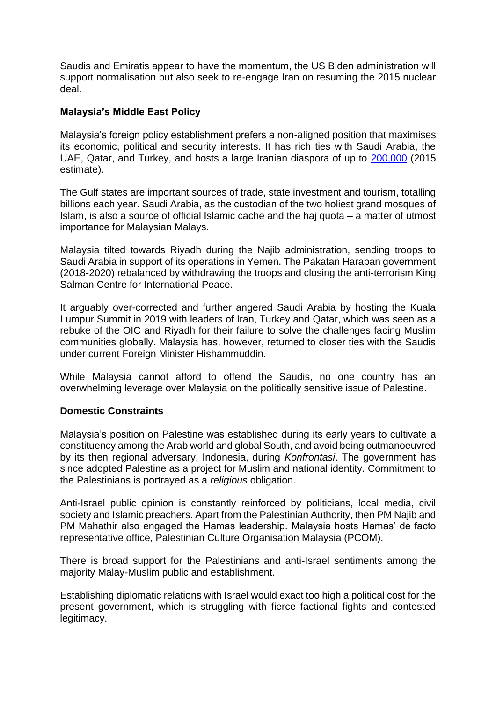Saudis and Emiratis appear to have the momentum, the US Biden administration will support normalisation but also seek to re-engage Iran on resuming the 2015 nuclear deal.

# **Malaysia's Middle East Policy**

Malaysia's foreign policy establishment prefers a non-aligned position that maximises its economic, political and security interests. It has rich ties with Saudi Arabia, the UAE, Qatar, and Turkey, and hosts a large Iranian diaspora of up to [200,000](https://www.tandfonline.com/doi/full/10.1080/09739572.2016.1239439) (2015 estimate).

The Gulf states are important sources of trade, state investment and tourism, totalling billions each year. Saudi Arabia, as the custodian of the two holiest grand mosques of Islam, is also a source of official Islamic cache and the haj quota – a matter of utmost importance for Malaysian Malays.

Malaysia tilted towards Riyadh during the Najib administration, sending troops to Saudi Arabia in support of its operations in Yemen. The Pakatan Harapan government (2018-2020) rebalanced by withdrawing the troops and closing the anti-terrorism King Salman Centre for International Peace.

It arguably over-corrected and further angered Saudi Arabia by hosting the Kuala Lumpur Summit in 2019 with leaders of Iran, Turkey and Qatar, which was seen as a rebuke of the OIC and Riyadh for their failure to solve the challenges facing Muslim communities globally. Malaysia has, however, returned to closer ties with the Saudis under current Foreign Minister Hishammuddin.

While Malaysia cannot afford to offend the Saudis, no one country has an overwhelming leverage over Malaysia on the politically sensitive issue of Palestine.

## **Domestic Constraints**

Malaysia's position on Palestine was established during its early years to cultivate a constituency among the Arab world and global South, and avoid being outmanoeuvred by its then regional adversary, Indonesia, during *Konfrontasi*. The government has since adopted Palestine as a project for Muslim and national identity. Commitment to the Palestinians is portrayed as a *religious* obligation.

Anti-Israel public opinion is constantly reinforced by politicians, local media, civil society and Islamic preachers. Apart from the Palestinian Authority, then PM Najib and PM Mahathir also engaged the Hamas leadership. Malaysia hosts Hamas' de facto representative office, Palestinian Culture Organisation Malaysia (PCOM).

There is broad support for the Palestinians and anti-Israel sentiments among the majority Malay-Muslim public and establishment.

Establishing diplomatic relations with Israel would exact too high a political cost for the present government, which is struggling with fierce factional fights and contested legitimacy.